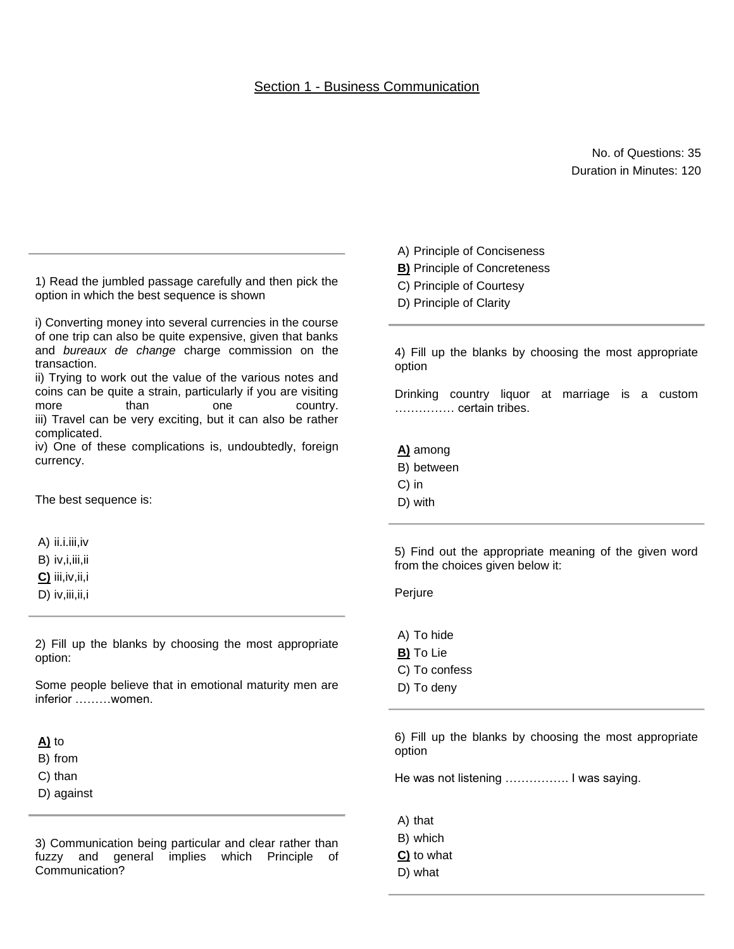## Section 1 - Business Communication

No. of Questions: 35 Duration in Minutes: 120

1) Read the jumbled passage carefully and then pick the option in which the best sequence is shown

i) Converting money into several currencies in the course of one trip can also be quite expensive, given that banks and *bureaux de change* charge commission on the transaction.

ii) Trying to work out the value of the various notes and coins can be quite a strain, particularly if you are visiting more than one country. iii) Travel can be very exciting, but it can also be rather complicated.

iv) One of these complications is, undoubtedly, foreign currency.

The best sequence is:

A) ii.i.iii,iv B) iv,i,iii,ii

**C)** iii,iv,ii,i

D) iv, iii, ii, i

2) Fill up the blanks by choosing the most appropriate option:

Some people believe that in emotional maturity men are inferior ………women.

**A)** to

B) from

C) than

D) against

3) Communication being particular and clear rather than fuzzy and general implies which Principle of Communication?

- A) Principle of Conciseness
- **B)** Principle of Concreteness
- C) Principle of Courtesy
- D) Principle of Clarity

4) Fill up the blanks by choosing the most appropriate option

Drinking country liquor at marriage is a custom …………… certain tribes.

**A)** among B) between

- C) in
- D) with

5) Find out the appropriate meaning of the given word from the choices given below it:

Perjure

- A) To hide
- **B)** To Lie
- C) To confess
- D) To deny

6) Fill up the blanks by choosing the most appropriate option

He was not listening ……………. I was saying.

- A) that
- B) which
- **C)** to what
- D) what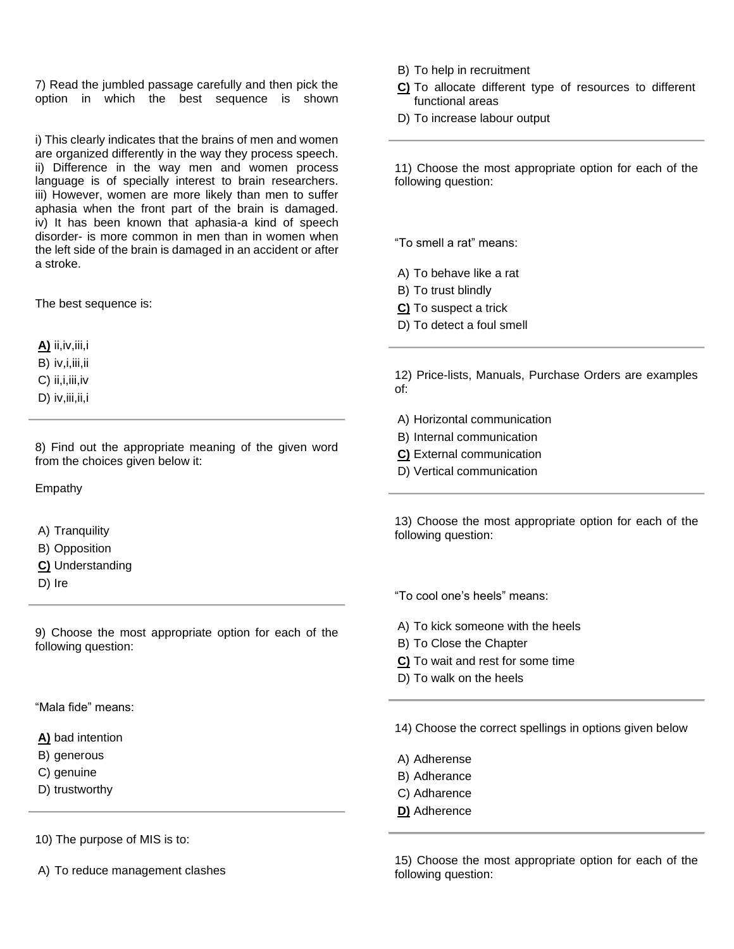7) Read the jumbled passage carefully and then pick the option in which the best sequence is shown

i) This clearly indicates that the brains of men and women are organized differently in the way they process speech. ii) Difference in the way men and women process language is of specially interest to brain researchers. iii) However, women are more likely than men to suffer aphasia when the front part of the brain is damaged. iv) It has been known that aphasia-a kind of speech disorder- is more common in men than in women when the left side of the brain is damaged in an accident or after a stroke.

The best sequence is:

**A)** ii,iv,iii,i

B) iv,i,iii,ii

C) ii,i,iii,iv

D) iv, iii, ii, i

8) Find out the appropriate meaning of the given word from the choices given below it:

Empathy

A) Tranquility

B) Opposition

**C)** Understanding

D) Ire

9) Choose the most appropriate option for each of the following question:

"Mala fide" means:

**A)** bad intention

B) generous

C) genuine

D) trustworthy

10) The purpose of MIS is to:

A) To reduce management clashes

- B) To help in recruitment
- **C)** To allocate different type of resources to different functional areas
- D) To increase labour output

11) Choose the most appropriate option for each of the following question:

"To smell a rat" means:

A) To behave like a rat

- B) To trust blindly
- **C)** To suspect a trick
- D) To detect a foul smell

12) Price-lists, Manuals, Purchase Orders are examples of:

A) Horizontal communication

- B) Internal communication
- **C)** External communication
- D) Vertical communication

13) Choose the most appropriate option for each of the following question:

"To cool one's heels" means:

- A) To kick someone with the heels
- B) To Close the Chapter
- **C)** To wait and rest for some time
- D) To walk on the heels

14) Choose the correct spellings in options given below

- A) Adherense
- B) Adherance
- C) Adharence
- **D)** Adherence

15) Choose the most appropriate option for each of the following question: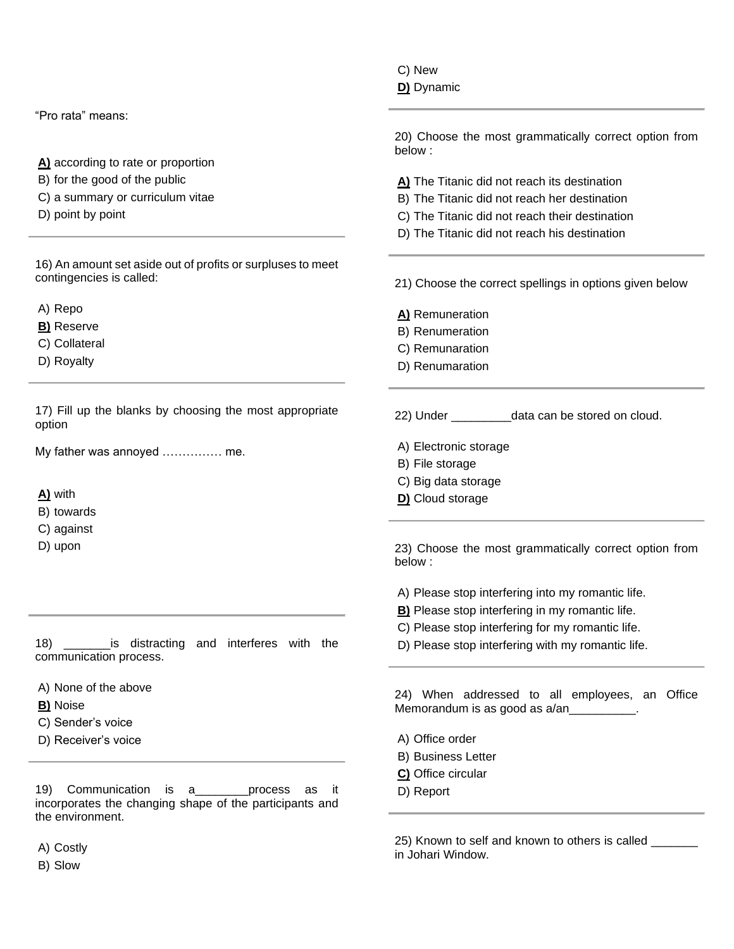"Pro rata" means:

**A)** according to rate or proportion

- B) for the good of the public
- C) a summary or curriculum vitae
- D) point by point

16) An amount set aside out of profits or surpluses to meet contingencies is called:

A) Repo

**B)** Reserve

C) Collateral

D) Royalty

17) Fill up the blanks by choosing the most appropriate option

My father was annoyed …………… me.

**A)** with

- B) towards
- C) against

D) upon

18) \_\_\_\_\_\_\_is distracting and interferes with the communication process.

A) None of the above

- **B)** Noise
- C) Sender's voice
- D) Receiver's voice

19) Communication is a\_\_\_\_\_\_\_\_process as it incorporates the changing shape of the participants and the environment.

A) Costly

B) Slow

C) New **D)** Dynamic

20) Choose the most grammatically correct option from below :

- **A)** The Titanic did not reach its destination
- B) The Titanic did not reach her destination
- C) The Titanic did not reach their destination
- D) The Titanic did not reach his destination

21) Choose the correct spellings in options given below

- **A)** Remuneration
- B) Renumeration
- C) Remunaration
- D) Renumaration

22) Under \_\_\_\_\_\_\_\_\_data can be stored on cloud.

- A) Electronic storage
- B) File storage
- C) Big data storage
- **D)** Cloud storage

23) Choose the most grammatically correct option from below :

A) Please stop interfering into my romantic life.

- **B)** Please stop interfering in my romantic life.
- C) Please stop interfering for my romantic life.
- D) Please stop interfering with my romantic life.

24) When addressed to all employees, an Office Memorandum is as good as a/an\_\_\_\_\_\_

- A) Office order
- B) Business Letter
- **C)** Office circular
- D) Report

25) Known to self and known to others is called in Johari Window.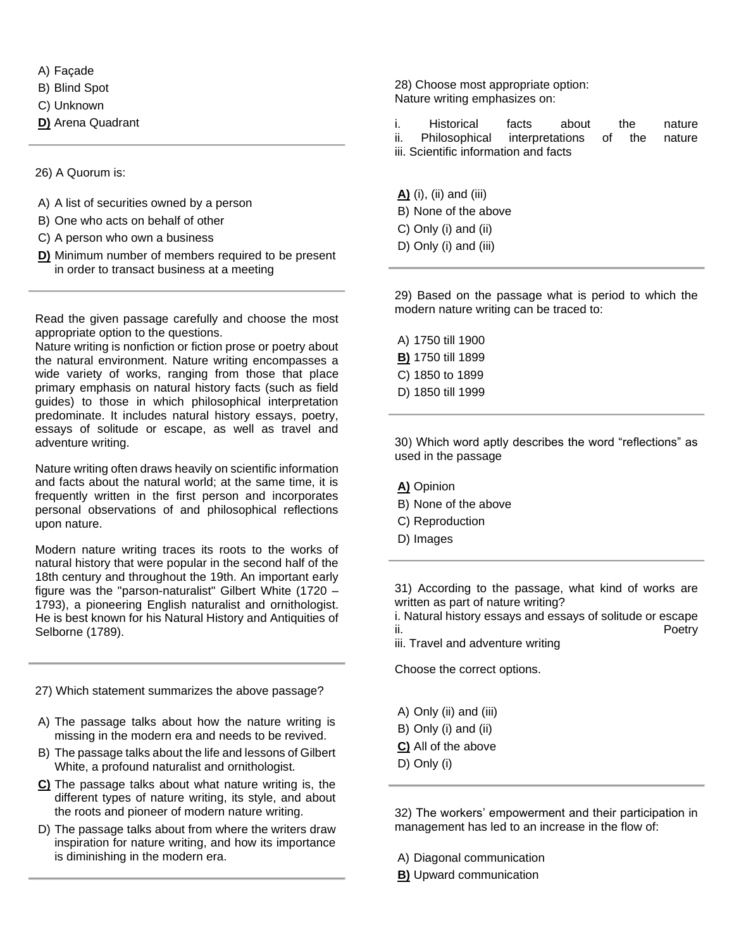- A) Façade
- B) Blind Spot
- C) Unknown

**D)** Arena Quadrant

- 26) A Quorum is:
- A) A list of securities owned by a person
- B) One who acts on behalf of other
- C) A person who own a business
- **D)** Minimum number of members required to be present in order to transact business at a meeting

Read the given passage carefully and choose the most appropriate option to the questions.

Nature writing is nonfiction or fiction prose or poetry about the natural environment. Nature writing encompasses a wide variety of works, ranging from those that place primary emphasis on natural history facts (such as field guides) to those in which philosophical interpretation predominate. It includes natural history essays, poetry, essays of solitude or escape, as well as travel and adventure writing.

Nature writing often draws heavily on scientific information and facts about the natural world; at the same time, it is frequently written in the first person and incorporates personal observations of and philosophical reflections upon nature.

Modern nature writing traces its roots to the works of natural history that were popular in the second half of the 18th century and throughout the 19th. An important early figure was the "parson-naturalist" Gilbert White (1720 – 1793), a pioneering English naturalist and ornithologist. He is best known for his Natural History and Antiquities of Selborne (1789).

27) Which statement summarizes the above passage?

- A) The passage talks about how the nature writing is missing in the modern era and needs to be revived.
- B) The passage talks about the life and lessons of Gilbert White, a profound naturalist and ornithologist.
- **C)** The passage talks about what nature writing is, the different types of nature writing, its style, and about the roots and pioneer of modern nature writing.
- D) The passage talks about from where the writers draw inspiration for nature writing, and how its importance is diminishing in the modern era.

28) Choose most appropriate option: Nature writing emphasizes on:

- i. Historical facts about the nature ii. Philosophical interpretations of the nature iii. Scientific information and facts
- **A)** (i), (ii) and (iii)
- B) None of the above
- C) Only (i) and (ii)
- D) Only (i) and (iii)

29) Based on the passage what is period to which the modern nature writing can be traced to:

A) 1750 till 1900 **B)** 1750 till 1899 C) 1850 to 1899 D) 1850 till 1999

30) Which word aptly describes the word "reflections" as used in the passage

- **A)** Opinion
- B) None of the above
- C) Reproduction
- D) Images

31) According to the passage, what kind of works are written as part of nature writing?

i. Natural history essays and essays of solitude or escape ii. Poetry

iii. Travel and adventure writing

Choose the correct options.

- A) Only (ii) and (iii)
- B) Only (i) and (ii)
- **C)** All of the above
- D) Only (i)

32) The workers' empowerment and their participation in management has led to an increase in the flow of:

- A) Diagonal communication
- **B)** Upward communication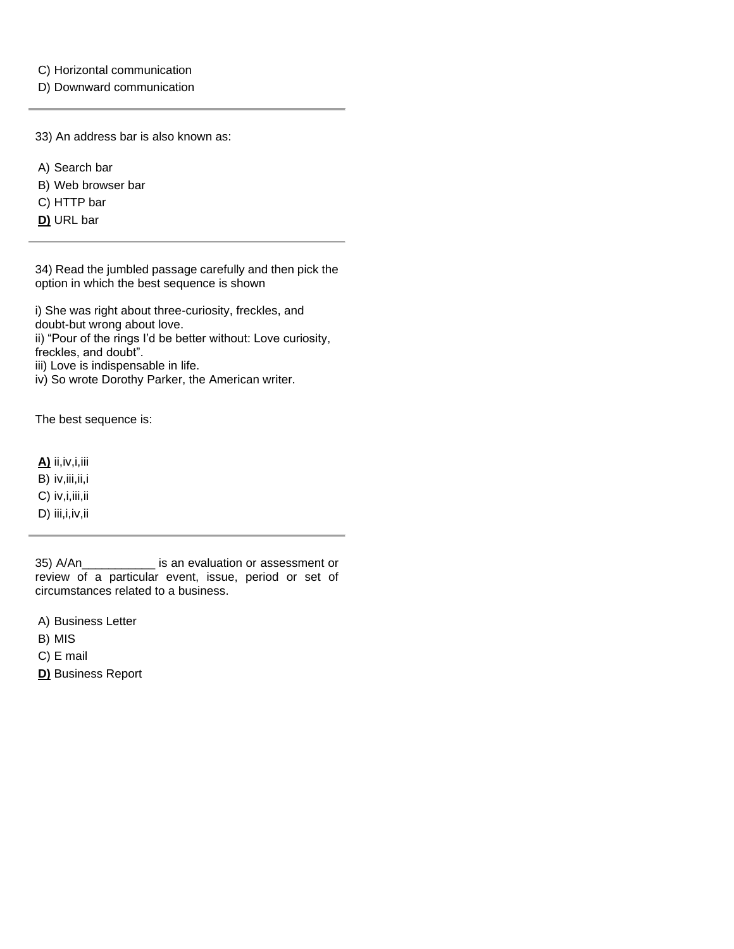C) Horizontal communication

D) Downward communication

33) An address bar is also known as:

A) Search bar

B) Web browser bar

C) HTTP bar

**D)** URL bar

34) Read the jumbled passage carefully and then pick the option in which the best sequence is shown

i) She was right about three-curiosity, freckles, and doubt-but wrong about love.

ii) "Pour of the rings I'd be better without: Love curiosity, freckles, and doubt".

iii) Love is indispensable in life.

iv) So wrote Dorothy Parker, the American writer.

The best sequence is:

**A)** ii,iv,i,iii

B) iv, iii, ii, i

C) iv,i,iii,ii

D) iii,i,iv,ii

35) A/An\_\_\_\_\_\_\_\_\_\_\_ is an evaluation or assessment or review of a particular event, issue, period or set of circumstances related to a business.

A) Business Letter

B) MIS

C) E mail

**D)** Business Report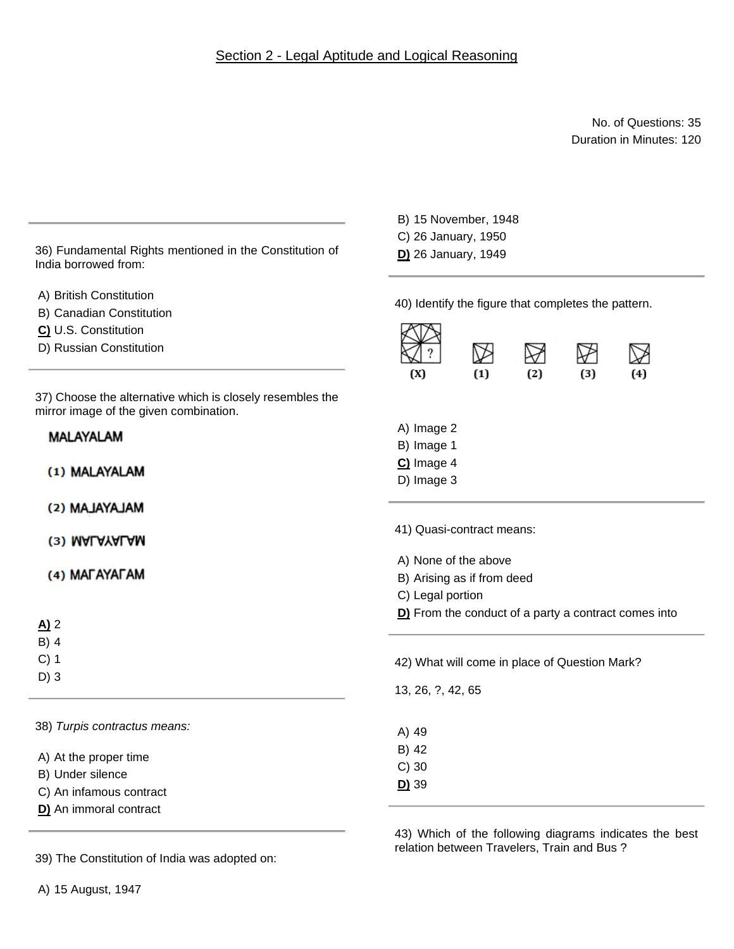No. of Questions: 35 Duration in Minutes: 120

36) Fundamental Rights mentioned in the Constitution of India borrowed from:

A) British Constitution

B) Canadian Constitution

**C)** U.S. Constitution

D) Russian Constitution

37) Choose the alternative which is closely resembles the mirror image of the given combination.

**MALAYALAM** 

(1) MALAYALAM

MALAYAJAM (2)

(3) MALAYALAM

(4) MAFAYAFAM

**A)** 2

B) 4

C) 1

D) 3

38) *Turpis contractus means:*

A) At the proper time

B) Under silence

C) An infamous contract

**D)** An immoral contract

39) The Constitution of India was adopted on:

A) 15 August, 1947

B) 15 November, 1948 C) 26 January, 1950

**D)** 26 January, 1949

40) Identify the figure that completes the pattern.



A) Image 2

B) Image 1

**C)** Image 4

D) Image 3

41) Quasi-contract means:

A) None of the above

B) Arising as if from deed

C) Legal portion

**D)** From the conduct of a party a contract comes into

42) What will come in place of Question Mark?

13, 26, ?, 42, 65

A) 49

B) 42

C) 30

**D)** 39

43) Which of the following diagrams indicates the best relation between Travelers, Train and Bus ?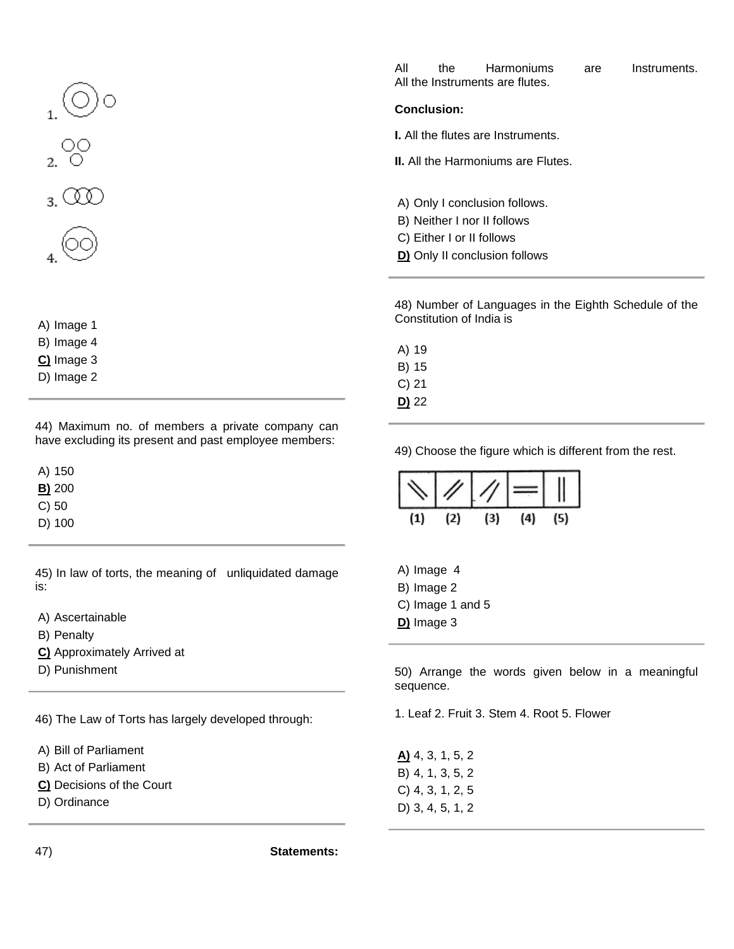

 $2.00$ 

3. QC

A) Image 1

B) Image 4

**C)** Image 3

D) Image 2

44) Maximum no. of members a private company can have excluding its present and past employee members:

A) 150

**B)** 200

C) 50

D) 100

45) In law of torts, the meaning of unliquidated damage is:

A) Ascertainable

- B) Penalty
- **C)** Approximately Arrived at
- D) Punishment

46) The Law of Torts has largely developed through:

- A) Bill of Parliament
- B) Act of Parliament
- **C)** Decisions of the Court
- D) Ordinance

All the Harmoniums are Instruments. All the Instruments are flutes.

## **Conclusion:**

**I.** All the flutes are Instruments.

**II.** All the Harmoniums are Flutes.

A) Only I conclusion follows.

- B) Neither I nor II follows
- C) Either I or II follows
- **D)** Only II conclusion follows

48) Number of Languages in the Eighth Schedule of the Constitution of India is

A) 19

B) 15 C) 21

**D)** 22

49) Choose the figure which is different from the rest.



A) Image 4 B) Image 2 C) Image 1 and 5 **D)** Image 3

50) Arrange the words given below in a meaningful sequence.

1. Leaf 2. Fruit 3. Stem 4. Root 5. Flower

**A)** 4, 3, 1, 5, 2 B) 4, 1, 3, 5, 2 C) 4, 3, 1, 2, 5 D) 3, 4, 5, 1, 2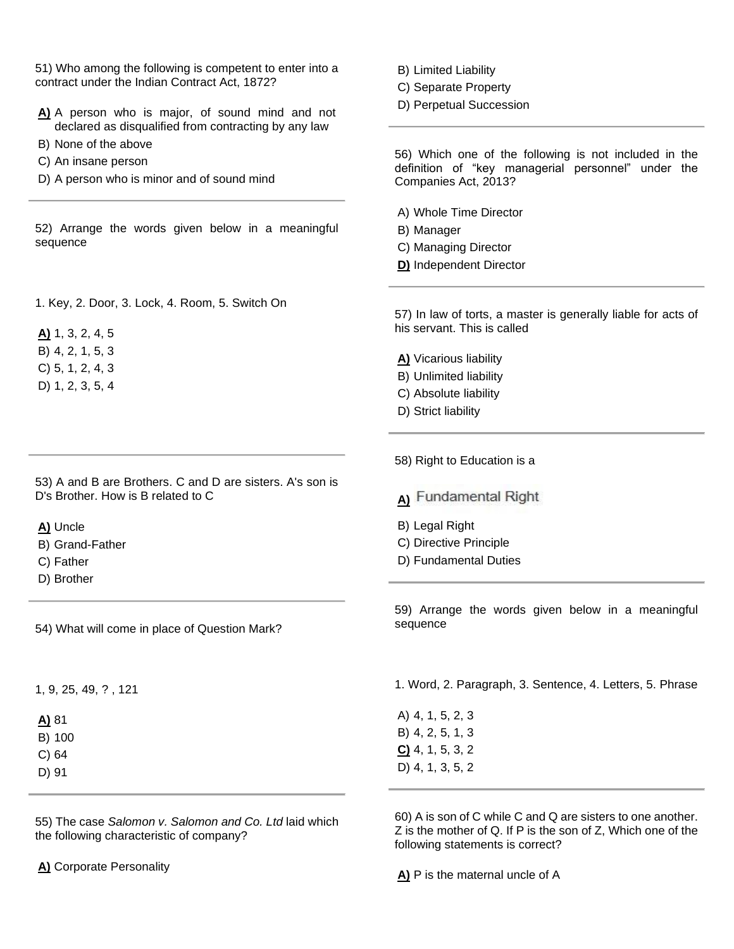51) Who among the following is competent to enter into a contract under the Indian Contract Act, 1872?

- A) A person who is major, of sound mind and not declared as disqualified from contracting by any law
- B) None of the above
- C) An insane person
- D) A person who is minor and of sound mind

52) Arrange the words given below in a meaningful sequence

1. Key, 2. Door, 3. Lock, 4. Room, 5. Switch On

**A)** 1, 3, 2, 4, 5 B) 4, 2, 1, 5, 3 C) 5, 1, 2, 4, 3 D) 1, 2, 3, 5, 4

53) A and B are Brothers. C and D are sisters. A's son is D's Brother. How is B related to C

**A)** Uncle

- B) Grand-Father
- C) Father
- D) Brother

54) What will come in place of Question Mark?

1, 9, 25, 49, ? , 121

**A)** 81

B) 100

C) 64

D) 91

55) The case *Salomon v. Salomon and Co. Ltd* laid which the following characteristic of company?

**A)** Corporate Personality

- B) Limited Liability
- C) Separate Property
- D) Perpetual Succession

56) Which one of the following is not included in the definition of "key managerial personnel" under the Companies Act, 2013?

A) Whole Time Director

- B) Manager
- C) Managing Director
- **D)** Independent Director

57) In law of torts, a master is generally liable for acts of his servant. This is called

- **A)** Vicarious liability
- B) Unlimited liability
- C) Absolute liability
- D) Strict liability

58) Right to Education is a

A) Fundamental Right

- B) Legal Right
- C) Directive Principle
- D) Fundamental Duties

59) Arrange the words given below in a meaningful sequence

1. Word, 2. Paragraph, 3. Sentence, 4. Letters, 5. Phrase

A) 4, 1, 5, 2, 3 B) 4, 2, 5, 1, 3 **C)** 4, 1, 5, 3, 2 D) 4, 1, 3, 5, 2

60) A is son of C while C and Q are sisters to one another. Z is the mother of Q. If P is the son of Z, Which one of the following statements is correct?

**A)** P is the maternal uncle of A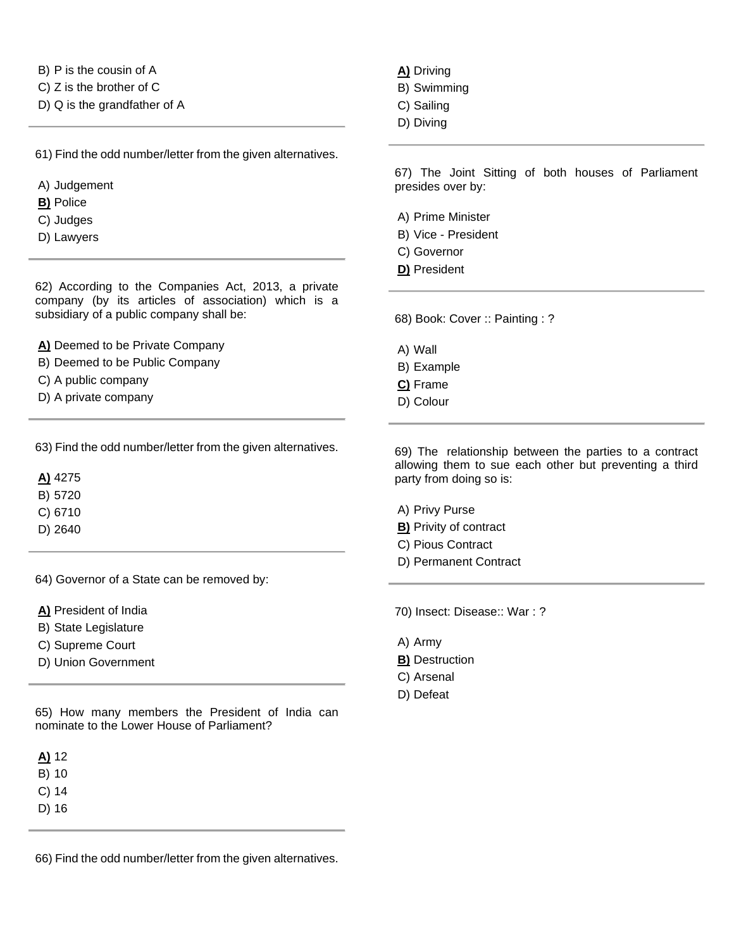B) P is the cousin of A

- C) Z is the brother of C
- D) Q is the grandfather of A

61) Find the odd number/letter from the given alternatives.

- A) Judgement
- **B)** Police
- C) Judges
- D) Lawyers

62) According to the Companies Act, 2013, a private company (by its articles of association) which is a subsidiary of a public company shall be:

**A)** Deemed to be Private Company

- B) Deemed to be Public Company
- C) A public company
- D) A private company

63) Find the odd number/letter from the given alternatives.

**A)** 4275

- B) 5720
- C) 6710
- D) 2640

64) Governor of a State can be removed by:

**A)** President of India

- B) State Legislature
- C) Supreme Court
- D) Union Government

65) How many members the President of India can nominate to the Lower House of Parliament?

- B) 10
- C) 14
- D) 16

66) Find the odd number/letter from the given alternatives.

**A)** Driving

- B) Swimming
- C) Sailing
- D) Diving

67) The Joint Sitting of both houses of Parliament presides over by:

- A) Prime Minister
- B) Vice President
- C) Governor
- **D)** President

68) Book: Cover :: Painting : ?

- A) Wall
- B) Example
- **C)** Frame
- D) Colour

69) The relationship between the parties to a contract allowing them to sue each other but preventing a third party from doing so is:

- A) Privy Purse
- **B)** Privity of contract
- C) Pious Contract
- D) Permanent Contract

70) Insect: Disease:: War : ?

- A) Army
- **B)** Destruction
- C) Arsenal
- D) Defeat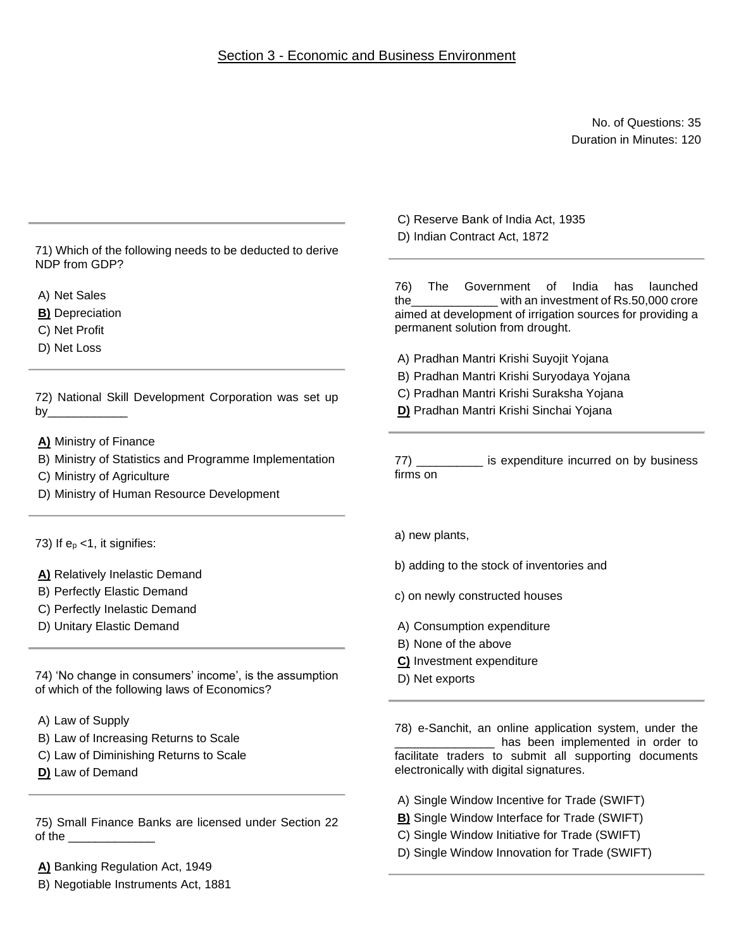No. of Questions: 35 Duration in Minutes: 120

71) Which of the following needs to be deducted to derive NDP from GDP?

A) Net Sales

**B)** Depreciation

C) Net Profit

D) Net Loss

72) National Skill Development Corporation was set up by $\_$ 

- **A)** Ministry of Finance
- B) Ministry of Statistics and Programme Implementation
- C) Ministry of Agriculture
- D) Ministry of Human Resource Development

73) If  $e_p < 1$ , it signifies:

**A)** Relatively Inelastic Demand

- B) Perfectly Elastic Demand
- C) Perfectly Inelastic Demand
- D) Unitary Elastic Demand

74) 'No change in consumers' income', is the assumption of which of the following laws of Economics?

A) Law of Supply

- B) Law of Increasing Returns to Scale
- C) Law of Diminishing Returns to Scale
- **D)** Law of Demand

75) Small Finance Banks are licensed under Section 22 of the \_\_\_\_\_\_\_\_\_\_\_\_\_

- **A)** Banking Regulation Act, 1949
- B) Negotiable Instruments Act, 1881

C) Reserve Bank of India Act, 1935

D) Indian Contract Act, 1872

76) The Government of India has launched the with an investment of Rs.50,000 crore aimed at development of irrigation sources for providing a permanent solution from drought.

- A) Pradhan Mantri Krishi Suyojit Yojana
- B) Pradhan Mantri Krishi Suryodaya Yojana
- C) Pradhan Mantri Krishi Suraksha Yojana
- **D)** Pradhan Mantri Krishi Sinchai Yojana

77) \_\_\_\_\_\_\_\_\_\_ is expenditure incurred on by business firms on

#### a) new plants,

b) adding to the stock of inventories and

c) on newly constructed houses

- A) Consumption expenditure
- B) None of the above
- **C)** Investment expenditure
- D) Net exports

78) e-Sanchit, an online application system, under the \_\_\_\_\_\_\_\_\_\_\_\_\_\_\_ has been implemented in order to facilitate traders to submit all supporting documents electronically with digital signatures.

- A) Single Window Incentive for Trade (SWIFT)
- **B)** Single Window Interface for Trade (SWIFT)
- C) Single Window Initiative for Trade (SWIFT)
- D) Single Window Innovation for Trade (SWIFT)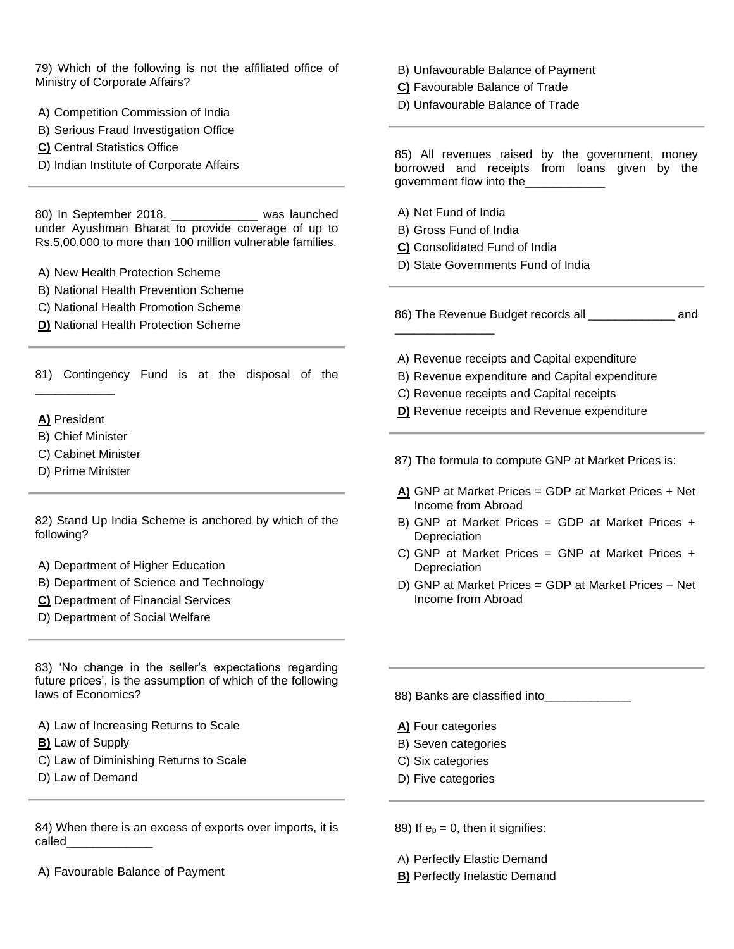79) Which of the following is not the affiliated office of Ministry of Corporate Affairs?

- A) Competition Commission of India
- B) Serious Fraud Investigation Office
- **C)** Central Statistics Office
- D) Indian Institute of Corporate Affairs

80) In September 2018, \_\_\_\_\_\_\_\_\_\_\_\_\_ was launched under Ayushman Bharat to provide coverage of up to Rs.5,00,000 to more than 100 million vulnerable families.

- A) New Health Protection Scheme
- B) National Health Prevention Scheme
- C) National Health Promotion Scheme
- **D)** National Health Protection Scheme

81) Contingency Fund is at the disposal of the

**A)** President

\_\_\_\_\_\_\_\_\_\_\_\_

- B) Chief Minister
- C) Cabinet Minister
- D) Prime Minister

82) Stand Up India Scheme is anchored by which of the following?

- A) Department of Higher Education
- B) Department of Science and Technology
- **C)** Department of Financial Services
- D) Department of Social Welfare

83) 'No change in the seller's expectations regarding future prices', is the assumption of which of the following laws of Economics?

A) Law of Increasing Returns to Scale

- **B)** Law of Supply
- C) Law of Diminishing Returns to Scale
- D) Law of Demand

84) When there is an excess of exports over imports, it is called\_\_\_\_\_\_\_\_\_\_\_\_\_

A) Favourable Balance of Payment

B) Unfavourable Balance of Payment

- **C)** Favourable Balance of Trade
- D) Unfavourable Balance of Trade

85) All revenues raised by the government, money borrowed and receipts from loans given by the government flow into the

A) Net Fund of India

\_\_\_\_\_\_\_\_\_\_\_\_\_\_\_

- B) Gross Fund of India
- **C)** Consolidated Fund of India
- D) State Governments Fund of India

86) The Revenue Budget records all \_\_\_\_\_\_\_\_\_\_\_\_\_ and

- A) Revenue receipts and Capital expenditure
- B) Revenue expenditure and Capital expenditure
- C) Revenue receipts and Capital receipts
- **D)** Revenue receipts and Revenue expenditure

87) The formula to compute GNP at Market Prices is:

- **A)** GNP at Market Prices = GDP at Market Prices + Net Income from Abroad
- B) GNP at Market Prices = GDP at Market Prices + **Depreciation**
- C) GNP at Market Prices = GNP at Market Prices + **Depreciation**
- D) GNP at Market Prices = GDP at Market Prices Net Income from Abroad
- 88) Banks are classified into
- **A)** Four categories
- B) Seven categories
- C) Six categories
- D) Five categories

89) If  $e_p = 0$ , then it signifies:

- A) Perfectly Elastic Demand
- **B)** Perfectly Inelastic Demand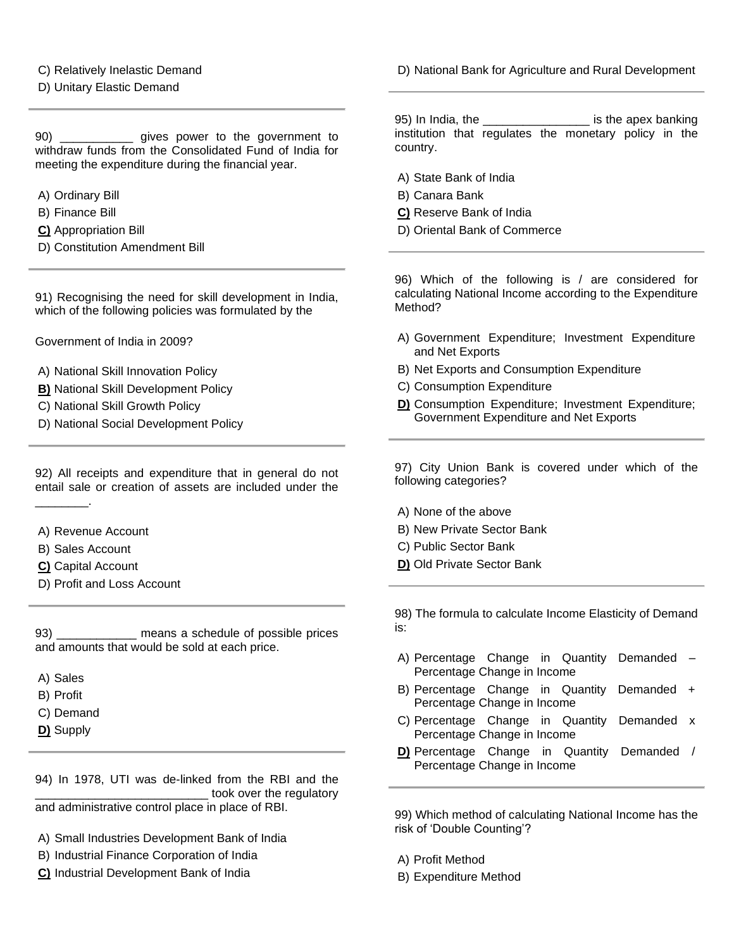C) Relatively Inelastic Demand

#### D) Unitary Elastic Demand

90) \_\_\_\_\_\_\_\_\_\_\_ gives power to the government to withdraw funds from the Consolidated Fund of India for meeting the expenditure during the financial year.

- A) Ordinary Bill
- B) Finance Bill
- **C)** Appropriation Bill
- D) Constitution Amendment Bill

91) Recognising the need for skill development in India, which of the following policies was formulated by the

Government of India in 2009?

- A) National Skill Innovation Policy
- **B)** National Skill Development Policy
- C) National Skill Growth Policy
- D) National Social Development Policy

92) All receipts and expenditure that in general do not entail sale or creation of assets are included under the \_\_\_\_\_\_\_\_.

- A) Revenue Account
- B) Sales Account
- **C)** Capital Account
- D) Profit and Loss Account

93) \_\_\_\_\_\_\_\_\_\_\_\_ means a schedule of possible prices and amounts that would be sold at each price.

- A) Sales
- B) Profit
- C) Demand
- **D)** Supply

94) In 1978, UTI was de-linked from the RBI and the took over the regulatory and administrative control place in place of RBI.

A) Small Industries Development Bank of India

- B) Industrial Finance Corporation of India
- **C)** Industrial Development Bank of India

D) National Bank for Agriculture and Rural Development

95) In India, the \_\_\_\_\_\_\_\_\_\_\_\_\_\_\_\_ is the apex banking institution that regulates the monetary policy in the country.

- A) State Bank of India
- B) Canara Bank
- **C)** Reserve Bank of India
- D) Oriental Bank of Commerce

96) Which of the following is / are considered for calculating National Income according to the Expenditure Method?

- A) Government Expenditure; Investment Expenditure and Net Exports
- B) Net Exports and Consumption Expenditure
- C) Consumption Expenditure
- **D)** Consumption Expenditure; Investment Expenditure; Government Expenditure and Net Exports

97) City Union Bank is covered under which of the following categories?

- A) None of the above
- B) New Private Sector Bank
- C) Public Sector Bank
- **D)** Old Private Sector Bank

98) The formula to calculate Income Elasticity of Demand is:

- A) Percentage Change in Quantity Demanded Percentage Change in Income
- B) Percentage Change in Quantity Demanded + Percentage Change in Income
- C) Percentage Change in Quantity Demanded x Percentage Change in Income
- **D)** Percentage Change in Quantity Demanded / Percentage Change in Income

99) Which method of calculating National Income has the risk of 'Double Counting'?

- A) Profit Method
- B) Expenditure Method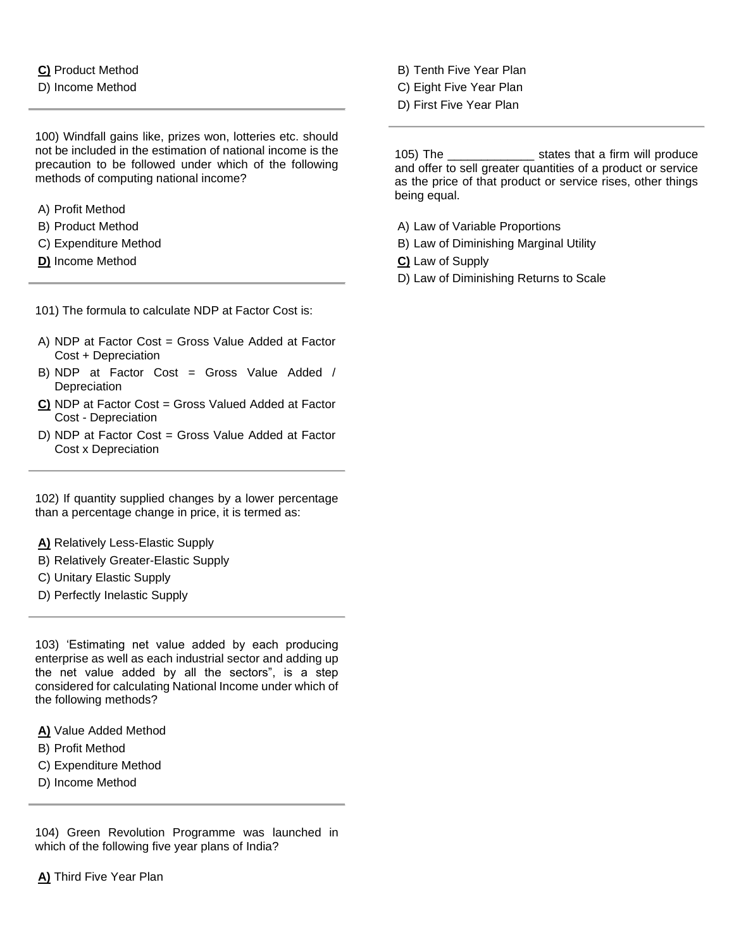100) Windfall gains like, prizes won, lotteries etc. should not be included in the estimation of national income is the precaution to be followed under which of the following methods of computing national income?

- A) Profit Method
- B) Product Method
- C) Expenditure Method
- **D)** Income Method
- 101) The formula to calculate NDP at Factor Cost is:
- A) NDP at Factor Cost = Gross Value Added at Factor Cost + Depreciation
- B) NDP at Factor Cost = Gross Value Added / **Depreciation**
- **C)** NDP at Factor Cost = Gross Valued Added at Factor Cost - Depreciation
- D) NDP at Factor Cost = Gross Value Added at Factor Cost x Depreciation

102) If quantity supplied changes by a lower percentage than a percentage change in price, it is termed as:

- **A)** Relatively Less-Elastic Supply
- B) Relatively Greater-Elastic Supply
- C) Unitary Elastic Supply
- D) Perfectly Inelastic Supply

103) 'Estimating net value added by each producing enterprise as well as each industrial sector and adding up the net value added by all the sectors", is a step considered for calculating National Income under which of the following methods?

- **A)** Value Added Method
- B) Profit Method
- C) Expenditure Method
- D) Income Method

104) Green Revolution Programme was launched in which of the following five year plans of India?

**A)** Third Five Year Plan

B) Tenth Five Year Plan

- C) Eight Five Year Plan
- D) First Five Year Plan

105) The \_\_\_\_\_\_\_\_\_\_\_\_\_ states that a firm will produce and offer to sell greater quantities of a product or service as the price of that product or service rises, other things being equal.

- A) Law of Variable Proportions
- B) Law of Diminishing Marginal Utility
- **C)** Law of Supply
- D) Law of Diminishing Returns to Scale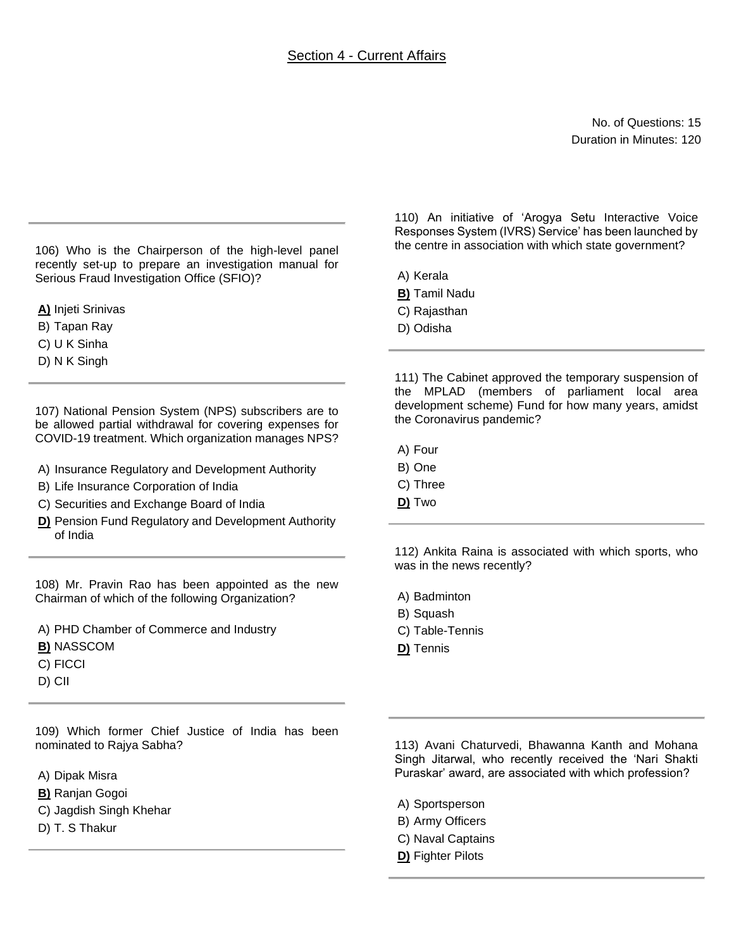## Section 4 - Current Affairs

No. of Questions: 15 Duration in Minutes: 120

106) Who is the Chairperson of the high-level panel recently set-up to prepare an investigation manual for Serious Fraud Investigation Office (SFIO)?

**A)** Injeti Srinivas

B) Tapan Ray

C) U K Sinha

D) N K Singh

107) National Pension System (NPS) subscribers are to be allowed partial withdrawal for covering expenses for COVID-19 treatment. Which organization manages NPS?

A) Insurance Regulatory and Development Authority

- B) Life Insurance Corporation of India
- C) Securities and Exchange Board of India
- **D)** Pension Fund Regulatory and Development Authority of India

108) Mr. Pravin Rao has been appointed as the new Chairman of which of the following Organization?

A) PHD Chamber of Commerce and Industry

**B)** NASSCOM

C) FICCI

D) CII

109) Which former Chief Justice of India has been nominated to Rajya Sabha?

A) Dipak Misra

**B)** Ranjan Gogoi

C) Jagdish Singh Khehar

D) T. S Thakur

110) An initiative of 'Arogya Setu Interactive Voice Responses System (IVRS) Service' has been launched by the centre in association with which state government?

A) Kerala

- **B)** Tamil Nadu
- C) Rajasthan
- D) Odisha

111) The Cabinet approved the temporary suspension of the MPLAD (members of parliament local area development scheme) Fund for how many years, amidst the Coronavirus pandemic?

A) Four

- B) One
- C) Three
- **D)** Two

112) Ankita Raina is associated with which sports, who was in the news recently?

- A) Badminton
- B) Squash
- C) Table-Tennis
- **D)** Tennis

113) Avani Chaturvedi, Bhawanna Kanth and Mohana Singh Jitarwal, who recently received the 'Nari Shakti Puraskar' award, are associated with which profession?

A) Sportsperson

- B) Army Officers
- C) Naval Captains
- **D)** Fighter Pilots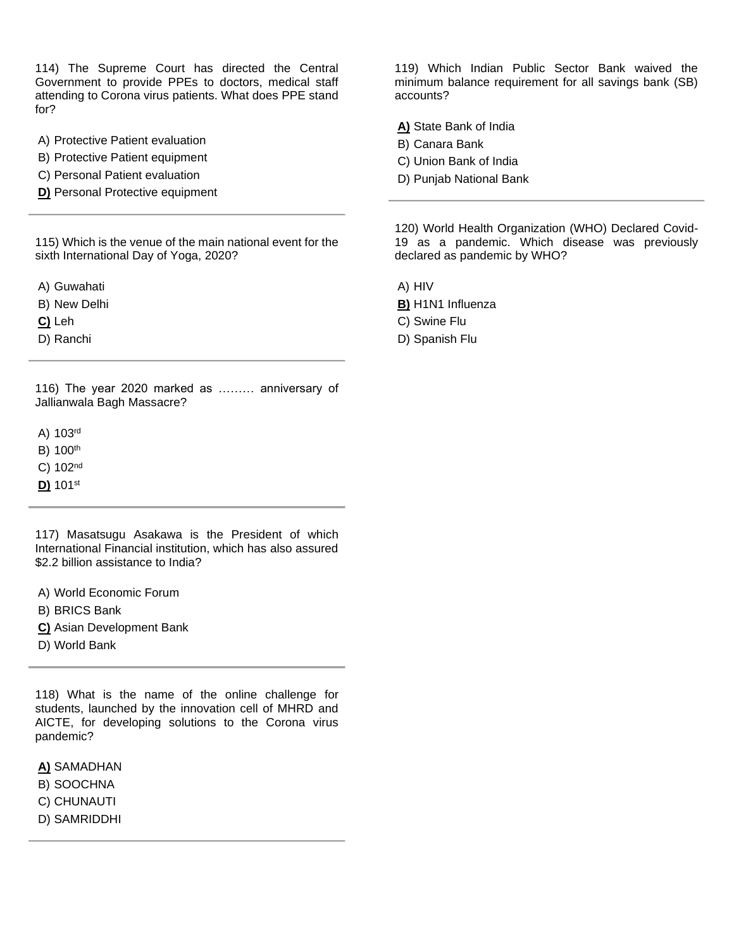114) The Supreme Court has directed the Central Government to provide PPEs to doctors, medical staff attending to Corona virus patients. What does PPE stand for?

- A) Protective Patient evaluation
- B) Protective Patient equipment
- C) Personal Patient evaluation
- **D)** Personal Protective equipment

115) Which is the venue of the main national event for the sixth International Day of Yoga, 2020?

A) Guwahati

B) New Delhi

**C)** Leh

D) Ranchi

116) The year 2020 marked as ……… anniversary of Jallianwala Bagh Massacre?

A) 103rd

- B) 100th
- C) 102nd

**D)** 101st

117) Masatsugu Asakawa is the President of which International Financial institution, which has also assured \$2.2 billion assistance to India?

- A) World Economic Forum
- B) BRICS Bank
- **C)** Asian Development Bank
- D) World Bank

118) What is the name of the online challenge for students, launched by the innovation cell of MHRD and AICTE, for developing solutions to the Corona virus pandemic?

**A)** SAMADHAN

B) SOOCHNA

C) CHUNAUTI

D) SAMRIDDHI

119) Which Indian Public Sector Bank waived the minimum balance requirement for all savings bank (SB) accounts?

**A)** State Bank of India

- B) Canara Bank
- C) Union Bank of India
- D) Punjab National Bank

120) World Health Organization (WHO) Declared Covid-19 as a pandemic. Which disease was previously declared as pandemic by WHO?

A) HIV

- **B)** H1N1 Influenza
- C) Swine Flu
- D) Spanish Flu